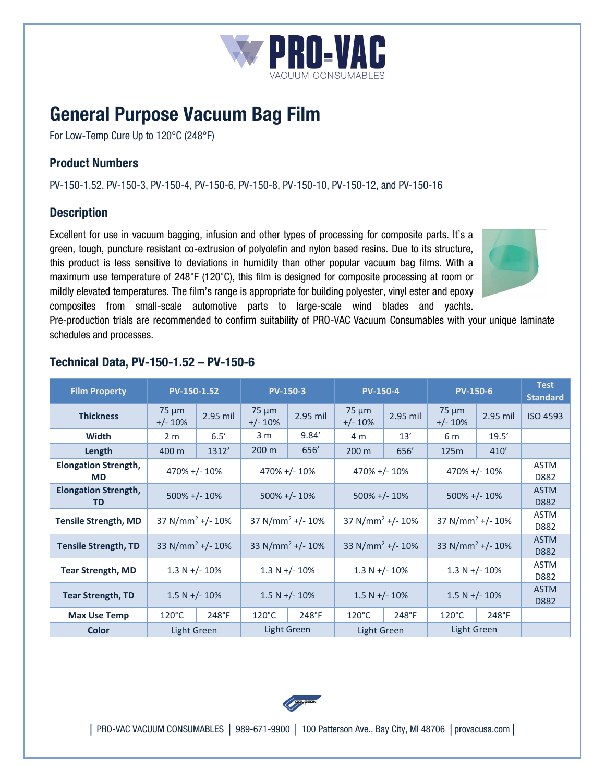

# **General Purpose Vacuum Bag Film**

For Low-Temp Cure Up to 120°C (248°F)

# **Product Numbers**

PV-150-1.52, PV-150-3, PV-150-4, PV-150-6, PV-150-8, PV-150-10, PV-150-12, and PV-150-16

### **Description**

Excellent for use in vacuum bagging, infusion and other types of processing for composite parts. It's a green, tough, puncture resistant co-extrusion of polyolefin and nylon based resins. Due to its structure, this product is less sensitive to deviations in humidity than other popular vacuum bag films. With a maximum use temperature of 248˚F (120˚C), this film is designed for composite processing at room or mildly elevated temperatures. The film's range is appropriate for building polyester, vinyl ester and epoxy composites from small-scale automotive parts to large-scale wind blades and yachts.



Pre-production trials are recommended to confirm suitability of PRO-VAC Vacuum Consumables with your unique laminate schedules and processes.

| <b>Film Property</b>                     | PV-150-1.52                     |          | <b>PV-150-3</b>              |          | <b>PV-150-4</b>              |          | <b>PV-150-6</b>              |          | <b>Test</b><br><b>Standard</b> |
|------------------------------------------|---------------------------------|----------|------------------------------|----------|------------------------------|----------|------------------------------|----------|--------------------------------|
| <b>Thickness</b>                         | $75 \mu m$<br>$+/- 10%$         | 2.95 mil | $75 \mu m$<br>$+/- 10%$      | 2.95 mil | $75 \mu m$<br>$+/- 10%$      | 2.95 mil | $75 \mu m$<br>$+/- 10%$      | 2.95 mil | <b>ISO 4593</b>                |
| Width                                    | 2 <sub>m</sub>                  | 6.5'     | 3 <sub>m</sub>               | 9.84'    | 4 m                          | 13'      | 6 m                          | 19.5'    |                                |
| Length                                   | 400 m                           | 1312'    | 200 <sub>m</sub>             | 656      | 200 <sub>m</sub>             | 656      | 125m                         | 410'     |                                |
| <b>Elongation Strength,</b><br><b>MD</b> | $470\% + (-10\%)$               |          | $470\% + (-10\%)$            |          | $470\% + (-10\%)$            |          | $470\% + (-10\%)$            |          | <b>ASTM</b><br>D882            |
| <b>Elongation Strength,</b><br><b>TD</b> | $500\% + (-10\%$                |          | $500\% + (-10\%$             |          | $500\% + (-10\%$             |          | $500\% + (-10\%)$            |          | <b>ASTM</b><br>D882            |
| <b>Tensile Strength, MD</b>              | 37 N/mm <sup>2</sup> +/- 10%    |          | 37 N/mm <sup>2</sup> +/- 10% |          | 37 N/mm <sup>2</sup> +/- 10% |          | 37 N/mm <sup>2</sup> +/- 10% |          | <b>ASTM</b><br>D882            |
| <b>Tensile Strength, TD</b>              | 33 N/mm <sup>2</sup> +/- $10\%$ |          | 33 N/mm <sup>2</sup> +/- 10% |          | 33 N/mm <sup>2</sup> +/- 10% |          | 33 N/mm <sup>2</sup> +/- 10% |          | <b>ASTM</b><br>D882            |
| <b>Tear Strength, MD</b>                 | $1.3 N + (-10\%)$               |          | $1.3 N + (-10\%)$            |          | $1.3 N + (-10\%)$            |          | $1.3 N + (-10\%)$            |          | <b>ASTM</b><br>D882            |
| <b>Tear Strength, TD</b>                 | $1.5 N + (-10\%)$               |          | $1.5 N + (-10\%)$            |          | $1.5 N + (-10\%)$            |          | $1.5 N + (-10\%)$            |          | <b>ASTM</b><br>D882            |
| <b>Max Use Temp</b>                      | $120^{\circ}$ C                 | 248°F    | $120^{\circ}$ C              | 248°F    | $120^{\circ}$ C              | 248°F    | $120^{\circ}$ C              | 248°F    |                                |
| <b>Color</b>                             | Light Green                     |          | <b>Light Green</b>           |          | Light Green                  |          | Light Green                  |          |                                |

## **Technical Data, PV-150-1.52 – PV-150-6**



│ PRO-VAC VACUUM CONSUMABLES │ 989-671-9900 │ 100 Patterson Ave., Bay City, MI 48706 │provacusa.com│